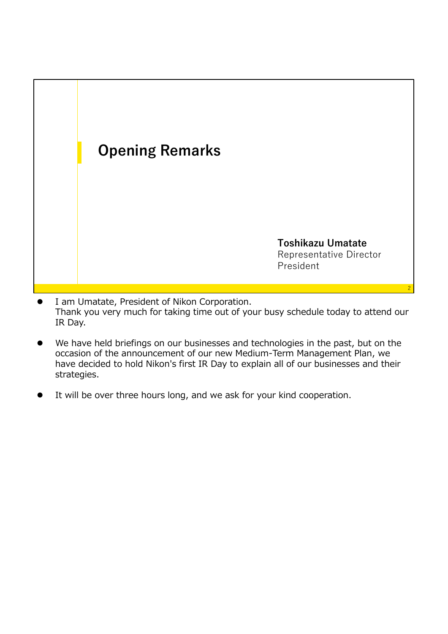

- I am Umatate, President of Nikon Corporation. Thank you very much for taking time out of your busy schedule today to attend our IR Day.
- We have held briefings on our businesses and technologies in the past, but on the occasion of the announcement of our new Medium-Term Management Plan, we have decided to hold Nikon's first IR Day to explain all of our businesses and their strategies.
- It will be over three hours long, and we ask for your kind cooperation.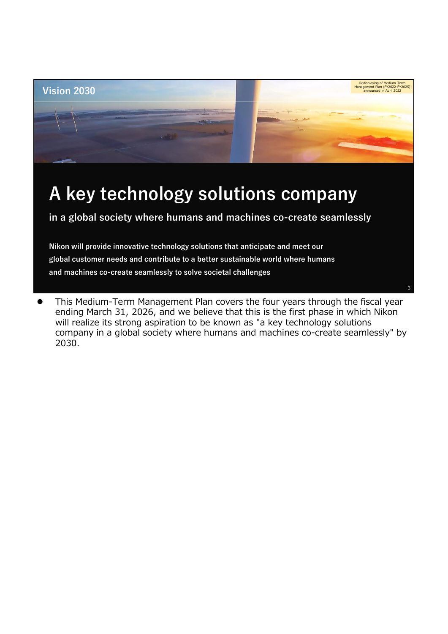

**global customer needs and contribute to a better sustainable world where humans and machines co-create seamlessly to solve societal challenges**

 This Medium-Term Management Plan covers the four years through the fiscal year ending March 31, 2026, and we believe that this is the first phase in which Nikon will realize its strong aspiration to be known as "a key technology solutions company in a global society where humans and machines co-create seamlessly" by 2030.

3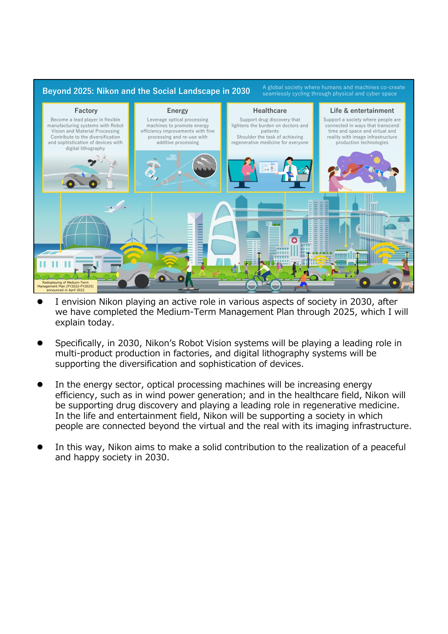

- I envision Nikon playing an active role in various aspects of society in 2030, after we have completed the Medium-Term Management Plan through 2025, which I will explain today.
- Specifically, in 2030, Nikon's Robot Vision systems will be playing a leading role in multi-product production in factories, and digital lithography systems will be supporting the diversification and sophistication of devices.
- In the energy sector, optical processing machines will be increasing energy efficiency, such as in wind power generation; and in the healthcare field, Nikon will be supporting drug discovery and playing a leading role in regenerative medicine. In the life and entertainment field, Nikon will be supporting a society in which people are connected beyond the virtual and the real with its imaging infrastructure.
- In this way, Nikon aims to make a solid contribution to the realization of a peaceful and happy society in 2030.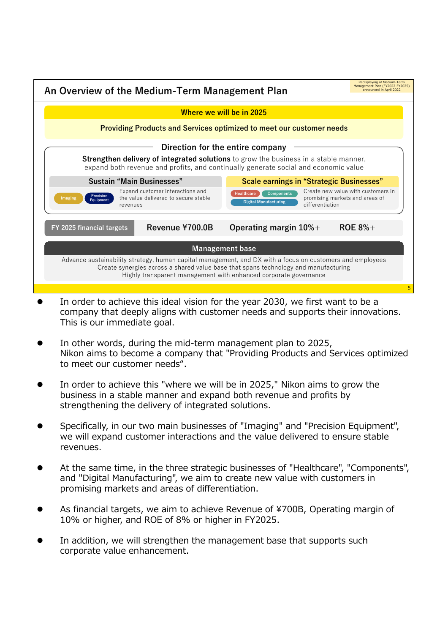

- In order to achieve this ideal vision for the year 2030, we first want to be a company that deeply aligns with customer needs and supports their innovations. This is our immediate goal.
- In other words, during the mid-term management plan to 2025, Nikon aims to become a company that "Providing Products and Services optimized to meet our customer needs".
- In order to achieve this "where we will be in 2025," Nikon aims to grow the business in a stable manner and expand both revenue and profits by strengthening the delivery of integrated solutions.
- Specifically, in our two main businesses of "Imaging" and "Precision Equipment", we will expand customer interactions and the value delivered to ensure stable revenues.
- At the same time, in the three strategic businesses of "Healthcare", "Components", and "Digital Manufacturing", we aim to create new value with customers in promising markets and areas of differentiation.
- As financial targets, we aim to achieve Revenue of ¥700B, Operating margin of 10% or higher, and ROE of 8% or higher in FY2025.
- In addition, we will strengthen the management base that supports such corporate value enhancement.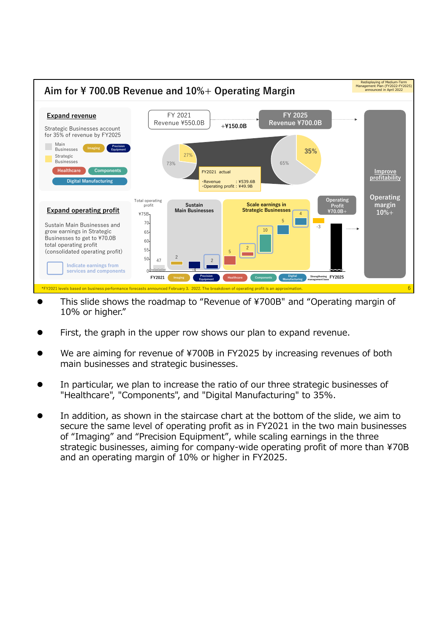

- This slide shows the roadmap to "Revenue of ¥700B" and "Operating margin of 10% or higher."
- First, the graph in the upper row shows our plan to expand revenue.
- We are aiming for revenue of ¥700B in FY2025 by increasing revenues of both main businesses and strategic businesses.
- In particular, we plan to increase the ratio of our three strategic businesses of "Healthcare", "Components", and "Digital Manufacturing" to 35%.
- In addition, as shown in the staircase chart at the bottom of the slide, we aim to secure the same level of operating profit as in FY2021 in the two main businesses of "Imaging" and "Precision Equipment", while scaling earnings in the three strategic businesses, aiming for company-wide operating profit of more than ¥70B and an operating margin of 10% or higher in FY2025.